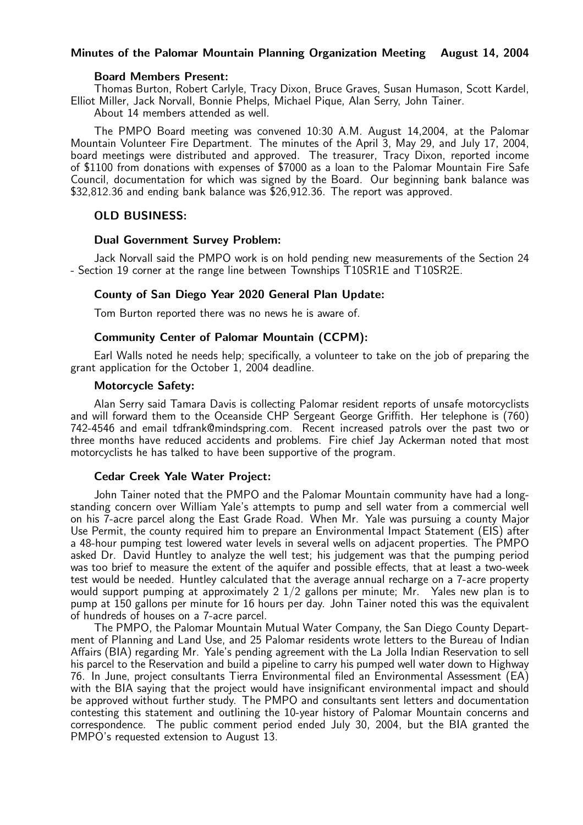## Minutes of the Palomar Mountain Planning Organization Meeting August 14, 2004

#### Board Members Present:

Thomas Burton, Robert Carlyle, Tracy Dixon, Bruce Graves, Susan Humason, Scott Kardel, Elliot Miller, Jack Norvall, Bonnie Phelps, Michael Pique, Alan Serry, John Tainer.

About 14 members attended as well.

The PMPO Board meeting was convened 10:30 A.M. August 14,2004, at the Palomar Mountain Volunteer Fire Department. The minutes of the April 3, May 29, and July 17, 2004, board meetings were distributed and approved. The treasurer, Tracy Dixon, reported income of \$1100 from donations with expenses of \$7000 as a loan to the Palomar Mountain Fire Safe Council, documentation for which was signed by the Board. Our beginning bank balance was \$32,812.36 and ending bank balance was \$26,912.36. The report was approved.

# OLD BUSINESS:

## Dual Government Survey Problem:

Jack Norvall said the PMPO work is on hold pending new measurements of the Section 24 - Section 19 corner at the range line between Townships T10SR1E and T10SR2E.

## County of San Diego Year 2020 General Plan Update:

Tom Burton reported there was no news he is aware of.

## Community Center of Palomar Mountain (CCPM):

Earl Walls noted he needs help; specifically, a volunteer to take on the job of preparing the grant application for the October 1, 2004 deadline.

## Motorcycle Safety:

Alan Serry said Tamara Davis is collecting Palomar resident reports of unsafe motorcyclists and will forward them to the Oceanside CHP Sergeant George Griffith. Her telephone is (760) 742-4546 and email tdfrank@mindspring.com. Recent increased patrols over the past two or three months have reduced accidents and problems. Fire chief Jay Ackerman noted that most motorcyclists he has talked to have been supportive of the program.

## Cedar Creek Yale Water Project:

John Tainer noted that the PMPO and the Palomar Mountain community have had a longstanding concern over William Yale's attempts to pump and sell water from a commercial well on his 7-acre parcel along the East Grade Road. When Mr. Yale was pursuing a county Major Use Permit, the county required him to prepare an Environmental Impact Statement (EIS) after a 48-hour pumping test lowered water levels in several wells on adjacent properties. The PMPO asked Dr. David Huntley to analyze the well test; his judgement was that the pumping period was too brief to measure the extent of the aquifer and possible effects, that at least a two-week test would be needed. Huntley calculated that the average annual recharge on a 7-acre property would support pumping at approximately 2 1/2 gallons per minute; Mr. Yales new plan is to pump at 150 gallons per minute for 16 hours per day. John Tainer noted this was the equivalent of hundreds of houses on a 7-acre parcel.

The PMPO, the Palomar Mountain Mutual Water Company, the San Diego County Department of Planning and Land Use, and 25 Palomar residents wrote letters to the Bureau of Indian Affairs (BIA) regarding Mr. Yale's pending agreement with the La Jolla Indian Reservation to sell his parcel to the Reservation and build a pipeline to carry his pumped well water down to Highway 76. In June, project consultants Tierra Environmental filed an Environmental Assessment (EA) with the BIA saying that the project would have insignificant environmental impact and should be approved without further study. The PMPO and consultants sent letters and documentation contesting this statement and outlining the 10-year history of Palomar Mountain concerns and correspondence. The public comment period ended July 30, 2004, but the BIA granted the PMPO's requested extension to August 13.